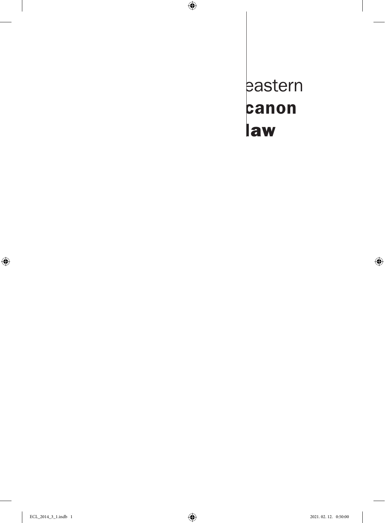eastern canon law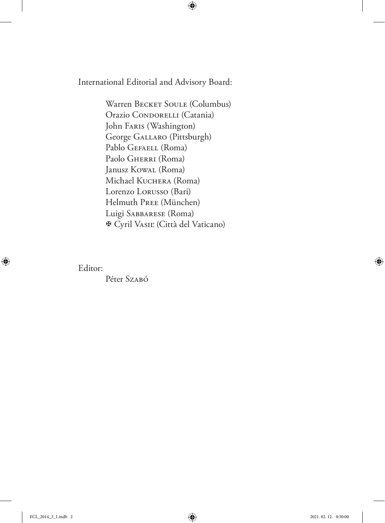International Editorial and Advisory Board:

Warren BECKET SOULE (Columbus) Orazio CONDORELLI (Catania) John Faris (Washington) George Gallaro (Pittsburgh) Pablo GEFAELL (Roma) Paolo GHERRI (Roma) Janusz Kowal (Roma) Michael Kuchera (Roma) Lorenzo Lorusso (Bari) Helmuth Pree (München) Luigi Sabbarese (Roma) Cyril Vasiľ (Città del Vaticano)

Editor:

Péter Szaró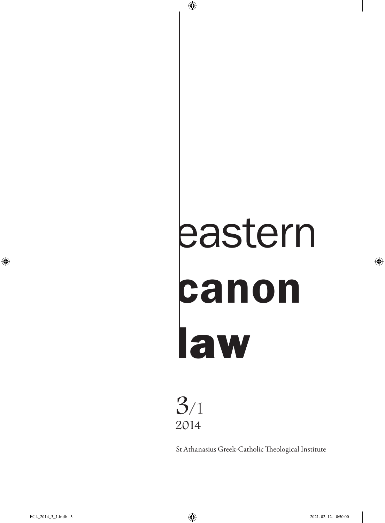# eastern canon law

# 3/1 2014

St Athanasius Greek-Catholic Theological Institute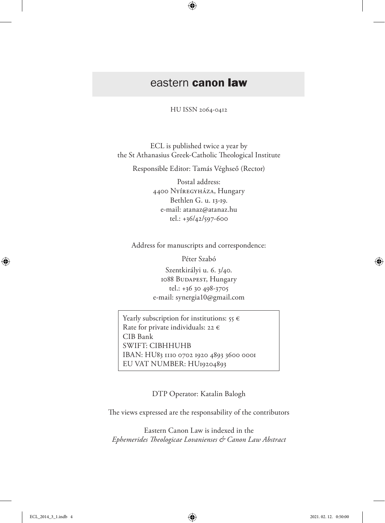## eastern canon law

HU ISSN 2064-0412

ECL is published twice a year by the St Athanasius Greek-Catholic Theological Institute

Responsible Editor: Tamás Véghseő (Rector)

Postal address: 4400 Nyíregyháza, Hungary Bethlen G. u. 13-19. e-mail: atanaz@atanaz.hu tel.: +36/42/597-600

Address for manuscripts and correspondence:

Péter Szabó Szentkirályi u. 6. 3/40. 1088 Budapest, Hungary tel.: +36 30 498-3705 e-mail: synergia10@gmail.com

Yearly subscription for institutions:  $55 \in$ Rate for private individuals: 22  $\epsilon$ CIB Bank SWIFT: CIBHHUHB IBAN: HU83 1110 0702 1920 4893 3600 0001 EU VAT NUMBER: HU19204893

DTP Operator: Katalin Balogh

The views expressed are the responsability of the contributors

Eastern Canon Law is indexed in the *Ephemerides Theologicae Lovanienses & Canon Law Abstract*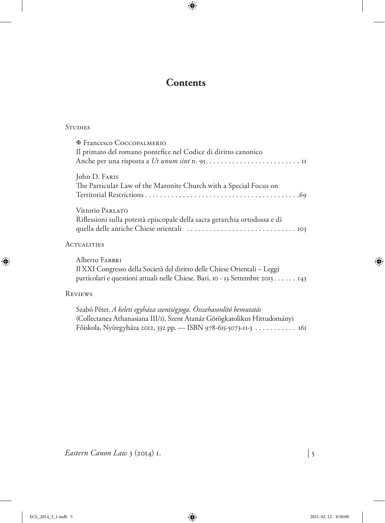### **Contents**

#### **STUDIES**

| <b>E</b> Francesco COCCOPALMERIO<br>Il primato del romano pontefice nel Codice di diritto canonico |
|----------------------------------------------------------------------------------------------------|
| John D. FARIS<br>The Particular Law of the Maronite Church with a Special Focus on                 |
| Vittorio PARLATO<br>Riflessioni sulla potestà episcopale della sacra gerarchia ortodossa e di      |

#### **ACTUALITIES**

Alberto Fabbri Il XXI Congresso della Società del diritto delle Chiese Orientali – Leggi particolari e questioni attuali nelle Chiese. Bari, 10 - 13 Settembre 2013. . . . . . . 143

#### Reviews

Szabó Péter, *A keleti egyháza szentségjoga. Összehasonlító bemutatás*  (Collectanea Athanasiana III/1), Szent Atanáz Görögkatolikus Hittudományi Főiskola, Nyíregyháza 2012, 332 pp. — ISBN 978-615-5073-11-3. . . . . . . . . . . . 161